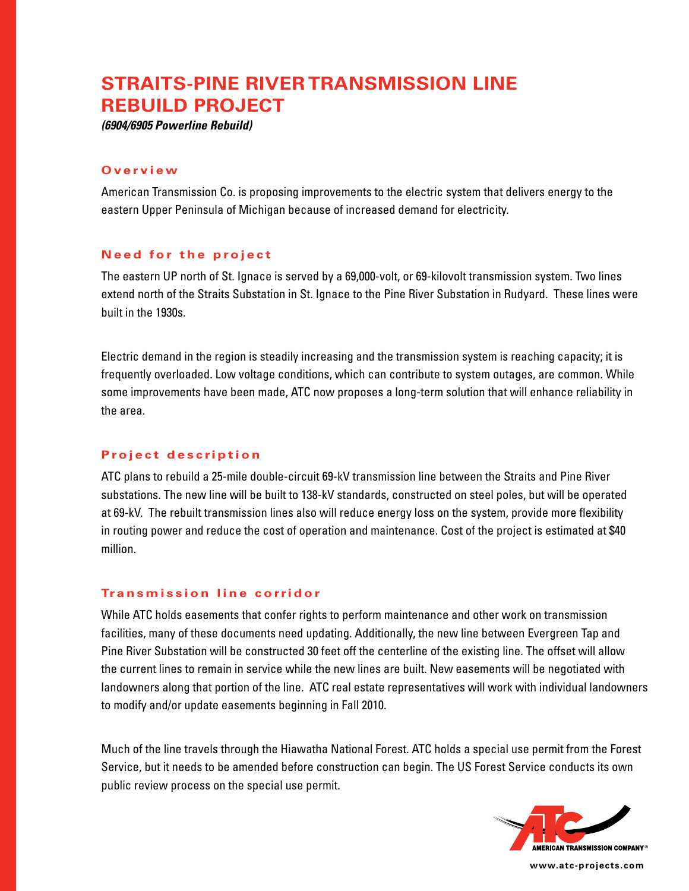# **Straits-Pine River Transmission Line Rebuild Project**

*(6904/6905 Powerline Rebuild)*

#### **O v e r v i e w**

American Transmission Co. is proposing improvements to the electric system that delivers energy to the eastern Upper Peninsula of Michigan because of increased demand for electricity.

### **Need for the project**

The eastern UP north of St. Ignace is served by a 69,000-volt, or 69-kilovolt transmission system. Two lines extend north of the Straits Substation in St. Ignace to the Pine River Substation in Rudyard. These lines were built in the 1930s.

Electric demand in the region is steadily increasing and the transmission system is reaching capacity; it is frequently overloaded. Low voltage conditions, which can contribute to system outages, are common. While some improvements have been made, ATC now proposes a long-term solution that will enhance reliability in the area.

# **Project description**

ATC plans to rebuild a 25-mile double-circuit 69-kV transmission line between the Straits and Pine River substations. The new line will be built to 138-kV standards, constructed on steel poles, but will be operated at 69-kV. The rebuilt transmission lines also will reduce energy loss on the system, provide more flexibility in routing power and reduce the cost of operation and maintenance. Cost of the project is estimated at \$40 million.

# **Tr a n s m i s s i o n l i n e c o rri d o r**

While ATC holds easements that confer rights to perform maintenance and other work on transmission facilities, many of these documents need updating. Additionally, the new line between Evergreen Tap and Pine River Substation will be constructed 30 feet off the centerline of the existing line. The offset will allow the current lines to remain in service while the new lines are built. New easements will be negotiated with landowners along that portion of the line. ATC real estate representatives will work with individual landowners to modify and/or update easements beginning in Fall 2010.

Much of the line travels through the Hiawatha National Forest. ATC holds a special use permit from the Forest Service, but it needs to be amended before construction can begin. The US Forest Service conducts its own public review process on the special use permit.



**www.atc-projects.com**